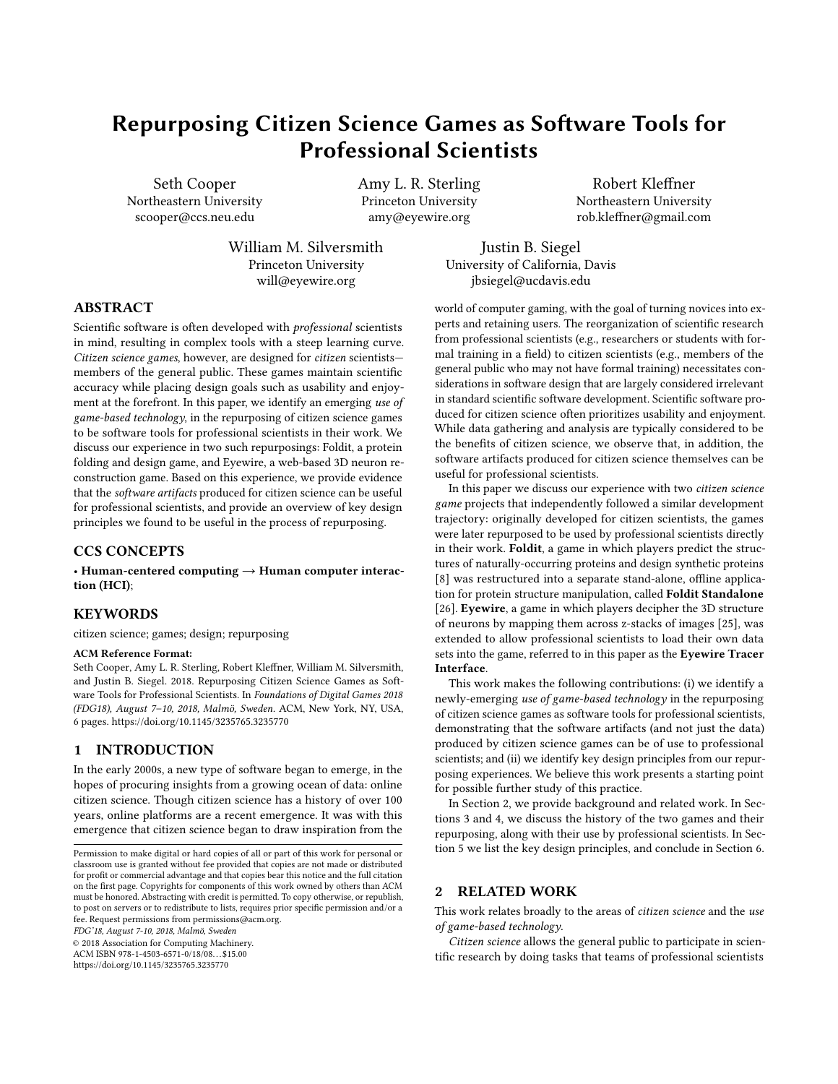# Repurposing Citizen Science Games as Software Tools for Professional Scientists

Seth Cooper Northeastern University scooper@ccs.neu.edu

Amy L. R. Sterling Princeton University amy@eyewire.org

Robert Kleffner Northeastern University rob.kleffner@gmail.com

William M. Silversmith Princeton University will@eyewire.org

Justin B. Siegel University of California, Davis jbsiegel@ucdavis.edu

# ABSTRACT

Scientific software is often developed with professional scientists in mind, resulting in complex tools with a steep learning curve. Citizen science games, however, are designed for citizen scientists members of the general public. These games maintain scientific accuracy while placing design goals such as usability and enjoyment at the forefront. In this paper, we identify an emerging use of game-based technology, in the repurposing of citizen science games to be software tools for professional scientists in their work. We discuss our experience in two such repurposings: Foldit, a protein folding and design game, and Eyewire, a web-based 3D neuron reconstruction game. Based on this experience, we provide evidence that the software artifacts produced for citizen science can be useful for professional scientists, and provide an overview of key design principles we found to be useful in the process of repurposing.

# CCS CONCEPTS

• Human-centered computing  $\rightarrow$  Human computer interaction (HCI);

#### **KEYWORDS**

citizen science; games; design; repurposing

#### ACM Reference Format:

Seth Cooper, Amy L. R. Sterling, Robert Kleffner, William M. Silversmith, and Justin B. Siegel. 2018. Repurposing Citizen Science Games as Software Tools for Professional Scientists. In Foundations of Digital Games 2018 (FDG18), August 7–10, 2018, Malmö, Sweden. ACM, New York, NY, USA, [6](#page-5-0) pages.<https://doi.org/10.1145/3235765.3235770>

### 1 INTRODUCTION

In the early 2000s, a new type of software began to emerge, in the hopes of procuring insights from a growing ocean of data: online citizen science. Though citizen science has a history of over 100 years, online platforms are a recent emergence. It was with this emergence that citizen science began to draw inspiration from the

FDG'18, August 7-10, 2018, Malmö, Sweden

© 2018 Association for Computing Machinery.

ACM ISBN 978-1-4503-6571-0/18/08. . . \$15.00 <https://doi.org/10.1145/3235765.3235770>

world of computer gaming, with the goal of turning novices into experts and retaining users. The reorganization of scientific research from professional scientists (e.g., researchers or students with formal training in a field) to citizen scientists (e.g., members of the general public who may not have formal training) necessitates considerations in software design that are largely considered irrelevant in standard scientific software development. Scientific software produced for citizen science often prioritizes usability and enjoyment. While data gathering and analysis are typically considered to be the benefits of citizen science, we observe that, in addition, the software artifacts produced for citizen science themselves can be useful for professional scientists.

In this paper we discuss our experience with two citizen science game projects that independently followed a similar development trajectory: originally developed for citizen scientists, the games were later repurposed to be used by professional scientists directly in their work. Foldit, a game in which players predict the structures of naturally-occurring proteins and design synthetic proteins [\[8\]](#page-4-0) was restructured into a separate stand-alone, offline application for protein structure manipulation, called Foldit Standalone [\[26\]](#page-5-1). Eyewire, a game in which players decipher the 3D structure of neurons by mapping them across z-stacks of images [\[25\]](#page-5-2), was extended to allow professional scientists to load their own data sets into the game, referred to in this paper as the Eyewire Tracer Interface.

This work makes the following contributions: (i) we identify a newly-emerging use of game-based technology in the repurposing of citizen science games as software tools for professional scientists, demonstrating that the software artifacts (and not just the data) produced by citizen science games can be of use to professional scientists; and (ii) we identify key design principles from our repurposing experiences. We believe this work presents a starting point for possible further study of this practice.

In Section [2,](#page-0-0) we provide background and related work. In Sections [3](#page-1-0) and [4,](#page-2-0) we discuss the history of the two games and their repurposing, along with their use by professional scientists. In Section [5](#page-3-0) we list the key design principles, and conclude in Section [6.](#page-4-1)

#### <span id="page-0-0"></span>2 RELATED WORK

This work relates broadly to the areas of citizen science and the use of game-based technology.

Citizen science allows the general public to participate in scientific research by doing tasks that teams of professional scientists

Permission to make digital or hard copies of all or part of this work for personal or classroom use is granted without fee provided that copies are not made or distributed for profit or commercial advantage and that copies bear this notice and the full citation on the first page. Copyrights for components of this work owned by others than ACM must be honored. Abstracting with credit is permitted. To copy otherwise, or republish, to post on servers or to redistribute to lists, requires prior specific permission and/or a fee. Request permissions from permissions@acm.org.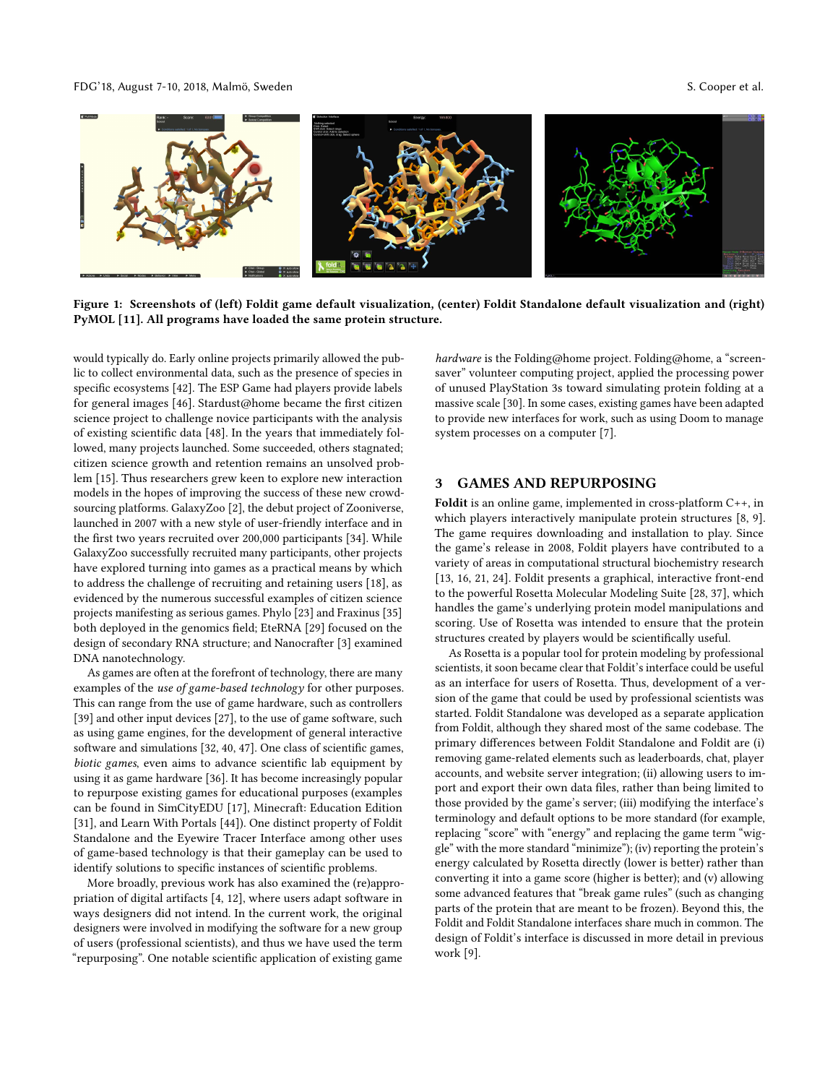#### FDG'18, August 7-10, 2018, Malmö, Sweden S. Cooper et al.

<span id="page-1-1"></span>

Figure 1: Screenshots of (left) Foldit game default visualization, (center) Foldit Standalone default visualization and (right) PyMOL [\[11\]](#page-4-2). All programs have loaded the same protein structure.

would typically do. Early online projects primarily allowed the public to collect environmental data, such as the presence of species in specific ecosystems [\[42\]](#page-5-3). The ESP Game had players provide labels for general images [\[46\]](#page-5-4). Stardust@home became the first citizen science project to challenge novice participants with the analysis of existing scientific data [\[48\]](#page-5-5). In the years that immediately followed, many projects launched. Some succeeded, others stagnated; citizen science growth and retention remains an unsolved problem [\[15\]](#page-5-6). Thus researchers grew keen to explore new interaction models in the hopes of improving the success of these new crowdsourcing platforms. GalaxyZoo [\[2\]](#page-4-3), the debut project of Zooniverse, launched in 2007 with a new style of user-friendly interface and in the first two years recruited over 200,000 participants [\[34\]](#page-5-7). While GalaxyZoo successfully recruited many participants, other projects have explored turning into games as a practical means by which to address the challenge of recruiting and retaining users [\[18\]](#page-5-8), as evidenced by the numerous successful examples of citizen science projects manifesting as serious games. Phylo [\[23\]](#page-5-9) and Fraxinus [\[35\]](#page-5-10) both deployed in the genomics field; EteRNA [\[29\]](#page-5-11) focused on the design of secondary RNA structure; and Nanocrafter [\[3\]](#page-4-4) examined DNA nanotechnology.

As games are often at the forefront of technology, there are many examples of the use of game-based technology for other purposes. This can range from the use of game hardware, such as controllers [\[39\]](#page-5-12) and other input devices [\[27\]](#page-5-13), to the use of game software, such as using game engines, for the development of general interactive software and simulations [\[32,](#page-5-14) [40,](#page-5-15) [47\]](#page-5-16). One class of scientific games, biotic games, even aims to advance scientific lab equipment by using it as game hardware [\[36\]](#page-5-17). It has become increasingly popular to repurpose existing games for educational purposes (examples can be found in SimCityEDU [\[17\]](#page-5-18), Minecraft: Education Edition [\[31\]](#page-5-19), and Learn With Portals [\[44\]](#page-5-20)). One distinct property of Foldit Standalone and the Eyewire Tracer Interface among other uses of game-based technology is that their gameplay can be used to identify solutions to specific instances of scientific problems.

More broadly, previous work has also examined the (re)appropriation of digital artifacts [\[4,](#page-4-5) [12\]](#page-5-21), where users adapt software in ways designers did not intend. In the current work, the original designers were involved in modifying the software for a new group of users (professional scientists), and thus we have used the term "repurposing". One notable scientific application of existing game

hardware is the Folding@home project. Folding@home, a "screensaver" volunteer computing project, applied the processing power of unused PlayStation 3s toward simulating protein folding at a massive scale [\[30\]](#page-5-22). In some cases, existing games have been adapted to provide new interfaces for work, such as using Doom to manage system processes on a computer [\[7\]](#page-4-6).

#### <span id="page-1-0"></span>**GAMES AND REPURPOSING**

Foldit is an online game, implemented in cross-platform C++, in which players interactively manipulate protein structures [\[8,](#page-4-0) [9\]](#page-4-7). The game requires downloading and installation to play. Since the game's release in 2008, Foldit players have contributed to a variety of areas in computational structural biochemistry research [\[13,](#page-5-23) [16,](#page-5-24) [21,](#page-5-25) [24\]](#page-5-26). Foldit presents a graphical, interactive front-end to the powerful Rosetta Molecular Modeling Suite [\[28,](#page-5-27) [37\]](#page-5-28), which handles the game's underlying protein model manipulations and scoring. Use of Rosetta was intended to ensure that the protein structures created by players would be scientifically useful.

As Rosetta is a popular tool for protein modeling by professional scientists, it soon became clear that Foldit's interface could be useful as an interface for users of Rosetta. Thus, development of a version of the game that could be used by professional scientists was started. Foldit Standalone was developed as a separate application from Foldit, although they shared most of the same codebase. The primary differences between Foldit Standalone and Foldit are (i) removing game-related elements such as leaderboards, chat, player accounts, and website server integration; (ii) allowing users to import and export their own data files, rather than being limited to those provided by the game's server; (iii) modifying the interface's terminology and default options to be more standard (for example, replacing "score" with "energy" and replacing the game term "wiggle" with the more standard "minimize"); (iv) reporting the protein's energy calculated by Rosetta directly (lower is better) rather than converting it into a game score (higher is better); and (v) allowing some advanced features that "break game rules" (such as changing parts of the protein that are meant to be frozen). Beyond this, the Foldit and Foldit Standalone interfaces share much in common. The design of Foldit's interface is discussed in more detail in previous work [\[9\]](#page-4-7).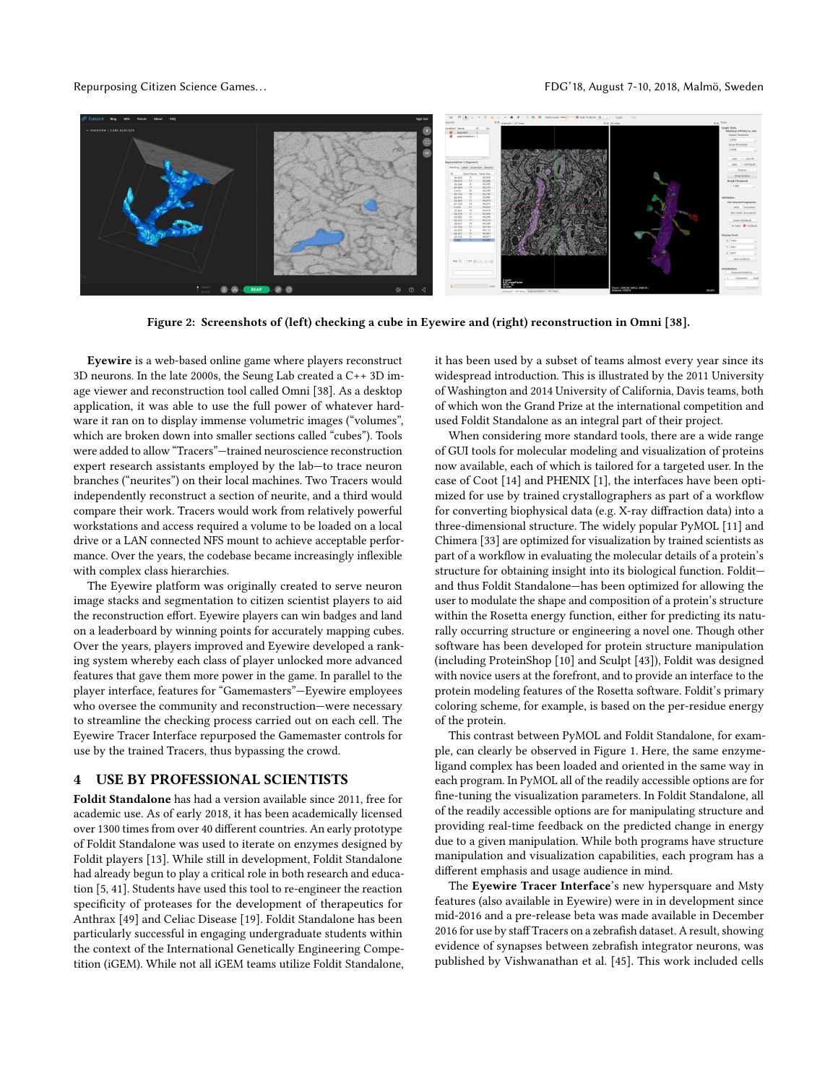#### Repurposing Citizen Science Games. . . FDG'18, August 7-10, 2018, Malmö, Sweden

<span id="page-2-1"></span>

Figure 2: Screenshots of (left) checking a cube in Eyewire and (right) reconstruction in Omni [\[38\]](#page-5-29).

Eyewire is a web-based online game where players reconstruct 3D neurons. In the late 2000s, the Seung Lab created a C++ 3D image viewer and reconstruction tool called Omni [\[38\]](#page-5-29). As a desktop application, it was able to use the full power of whatever hardware it ran on to display immense volumetric images ("volumes", which are broken down into smaller sections called "cubes"). Tools were added to allow "Tracers"—trained neuroscience reconstruction expert research assistants employed by the lab—to trace neuron branches ("neurites") on their local machines. Two Tracers would independently reconstruct a section of neurite, and a third would compare their work. Tracers would work from relatively powerful workstations and access required a volume to be loaded on a local drive or a LAN connected NFS mount to achieve acceptable performance. Over the years, the codebase became increasingly inflexible with complex class hierarchies.

The Eyewire platform was originally created to serve neuron image stacks and segmentation to citizen scientist players to aid the reconstruction effort. Eyewire players can win badges and land on a leaderboard by winning points for accurately mapping cubes. Over the years, players improved and Eyewire developed a ranking system whereby each class of player unlocked more advanced features that gave them more power in the game. In parallel to the player interface, features for "Gamemasters"—Eyewire employees who oversee the community and reconstruction—were necessary to streamline the checking process carried out on each cell. The Eyewire Tracer Interface repurposed the Gamemaster controls for use by the trained Tracers, thus bypassing the crowd.

#### <span id="page-2-0"></span>4 USE BY PROFESSIONAL SCIENTISTS

Foldit Standalone has had a version available since 2011, free for academic use. As of early 2018, it has been academically licensed over 1300 times from over 40 different countries. An early prototype of Foldit Standalone was used to iterate on enzymes designed by Foldit players [\[13\]](#page-5-23). While still in development, Foldit Standalone had already begun to play a critical role in both research and education [\[5,](#page-4-8) [41\]](#page-5-30). Students have used this tool to re-engineer the reaction specificity of proteases for the development of therapeutics for Anthrax [\[49\]](#page-5-31) and Celiac Disease [\[19\]](#page-5-32). Foldit Standalone has been particularly successful in engaging undergraduate students within the context of the International Genetically Engineering Competition (iGEM). While not all iGEM teams utilize Foldit Standalone,

it has been used by a subset of teams almost every year since its widespread introduction. This is illustrated by the 2011 University of Washington and 2014 University of California, Davis teams, both of which won the Grand Prize at the international competition and used Foldit Standalone as an integral part of their project.

When considering more standard tools, there are a wide range of GUI tools for molecular modeling and visualization of proteins now available, each of which is tailored for a targeted user. In the case of Coot [\[14\]](#page-5-33) and PHENIX [\[1\]](#page-4-9), the interfaces have been optimized for use by trained crystallographers as part of a workflow for converting biophysical data (e.g. X-ray diffraction data) into a three-dimensional structure. The widely popular PyMOL [\[11\]](#page-4-2) and Chimera [\[33\]](#page-5-34) are optimized for visualization by trained scientists as part of a workflow in evaluating the molecular details of a protein's structure for obtaining insight into its biological function. Foldit and thus Foldit Standalone—has been optimized for allowing the user to modulate the shape and composition of a protein's structure within the Rosetta energy function, either for predicting its naturally occurring structure or engineering a novel one. Though other software has been developed for protein structure manipulation (including ProteinShop [\[10\]](#page-4-10) and Sculpt [\[43\]](#page-5-35)), Foldit was designed with novice users at the forefront, and to provide an interface to the protein modeling features of the Rosetta software. Foldit's primary coloring scheme, for example, is based on the per-residue energy of the protein.

This contrast between PyMOL and Foldit Standalone, for example, can clearly be observed in Figure [1.](#page-1-1) Here, the same enzymeligand complex has been loaded and oriented in the same way in each program. In PyMOL all of the readily accessible options are for fine-tuning the visualization parameters. In Foldit Standalone, all of the readily accessible options are for manipulating structure and providing real-time feedback on the predicted change in energy due to a given manipulation. While both programs have structure manipulation and visualization capabilities, each program has a different emphasis and usage audience in mind.

The Eyewire Tracer Interface's new hypersquare and Msty features (also available in Eyewire) were in in development since mid-2016 and a pre-release beta was made available in December 2016 for use by staff Tracers on a zebrafish dataset. A result, showing evidence of synapses between zebrafish integrator neurons, was published by Vishwanathan et al. [\[45\]](#page-5-36). This work included cells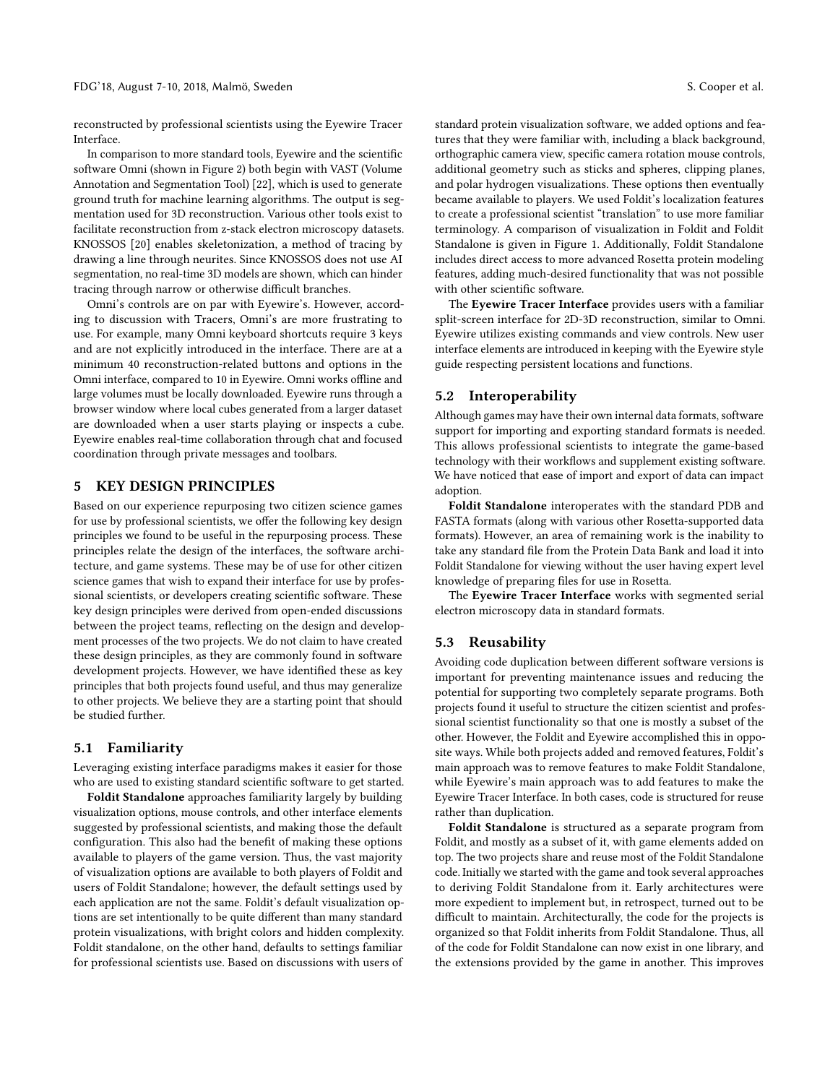reconstructed by professional scientists using the Eyewire Tracer Interface.

In comparison to more standard tools, Eyewire and the scientific software Omni (shown in Figure [2\)](#page-2-1) both begin with VAST (Volume Annotation and Segmentation Tool) [\[22\]](#page-5-37), which is used to generate ground truth for machine learning algorithms. The output is segmentation used for 3D reconstruction. Various other tools exist to facilitate reconstruction from z-stack electron microscopy datasets. KNOSSOS [\[20\]](#page-5-38) enables skeletonization, a method of tracing by drawing a line through neurites. Since KNOSSOS does not use AI segmentation, no real-time 3D models are shown, which can hinder tracing through narrow or otherwise difficult branches.

Omni's controls are on par with Eyewire's. However, according to discussion with Tracers, Omni's are more frustrating to use. For example, many Omni keyboard shortcuts require 3 keys and are not explicitly introduced in the interface. There are at a minimum 40 reconstruction-related buttons and options in the Omni interface, compared to 10 in Eyewire. Omni works offline and large volumes must be locally downloaded. Eyewire runs through a browser window where local cubes generated from a larger dataset are downloaded when a user starts playing or inspects a cube. Eyewire enables real-time collaboration through chat and focused coordination through private messages and toolbars.

# <span id="page-3-0"></span>5 KEY DESIGN PRINCIPLES

Based on our experience repurposing two citizen science games for use by professional scientists, we offer the following key design principles we found to be useful in the repurposing process. These principles relate the design of the interfaces, the software architecture, and game systems. These may be of use for other citizen science games that wish to expand their interface for use by professional scientists, or developers creating scientific software. These key design principles were derived from open-ended discussions between the project teams, reflecting on the design and development processes of the two projects. We do not claim to have created these design principles, as they are commonly found in software development projects. However, we have identified these as key principles that both projects found useful, and thus may generalize to other projects. We believe they are a starting point that should be studied further.

#### 5.1 Familiarity

Leveraging existing interface paradigms makes it easier for those who are used to existing standard scientific software to get started.

Foldit Standalone approaches familiarity largely by building visualization options, mouse controls, and other interface elements suggested by professional scientists, and making those the default configuration. This also had the benefit of making these options available to players of the game version. Thus, the vast majority of visualization options are available to both players of Foldit and users of Foldit Standalone; however, the default settings used by each application are not the same. Foldit's default visualization options are set intentionally to be quite different than many standard protein visualizations, with bright colors and hidden complexity. Foldit standalone, on the other hand, defaults to settings familiar for professional scientists use. Based on discussions with users of

standard protein visualization software, we added options and features that they were familiar with, including a black background, orthographic camera view, specific camera rotation mouse controls, additional geometry such as sticks and spheres, clipping planes, and polar hydrogen visualizations. These options then eventually became available to players. We used Foldit's localization features to create a professional scientist "translation" to use more familiar terminology. A comparison of visualization in Foldit and Foldit Standalone is given in Figure [1.](#page-1-1) Additionally, Foldit Standalone includes direct access to more advanced Rosetta protein modeling features, adding much-desired functionality that was not possible with other scientific software.

The Eyewire Tracer Interface provides users with a familiar split-screen interface for 2D-3D reconstruction, similar to Omni. Eyewire utilizes existing commands and view controls. New user interface elements are introduced in keeping with the Eyewire style guide respecting persistent locations and functions.

### 5.2 Interoperability

Although games may have their own internal data formats, software support for importing and exporting standard formats is needed. This allows professional scientists to integrate the game-based technology with their workflows and supplement existing software. We have noticed that ease of import and export of data can impact adoption.

Foldit Standalone interoperates with the standard PDB and FASTA formats (along with various other Rosetta-supported data formats). However, an area of remaining work is the inability to take any standard file from the Protein Data Bank and load it into Foldit Standalone for viewing without the user having expert level knowledge of preparing files for use in Rosetta.

The Eyewire Tracer Interface works with segmented serial electron microscopy data in standard formats.

#### 5.3 Reusability

Avoiding code duplication between different software versions is important for preventing maintenance issues and reducing the potential for supporting two completely separate programs. Both projects found it useful to structure the citizen scientist and professional scientist functionality so that one is mostly a subset of the other. However, the Foldit and Eyewire accomplished this in opposite ways. While both projects added and removed features, Foldit's main approach was to remove features to make Foldit Standalone, while Eyewire's main approach was to add features to make the Eyewire Tracer Interface. In both cases, code is structured for reuse rather than duplication.

Foldit Standalone is structured as a separate program from Foldit, and mostly as a subset of it, with game elements added on top. The two projects share and reuse most of the Foldit Standalone code. Initially we started with the game and took several approaches to deriving Foldit Standalone from it. Early architectures were more expedient to implement but, in retrospect, turned out to be difficult to maintain. Architecturally, the code for the projects is organized so that Foldit inherits from Foldit Standalone. Thus, all of the code for Foldit Standalone can now exist in one library, and the extensions provided by the game in another. This improves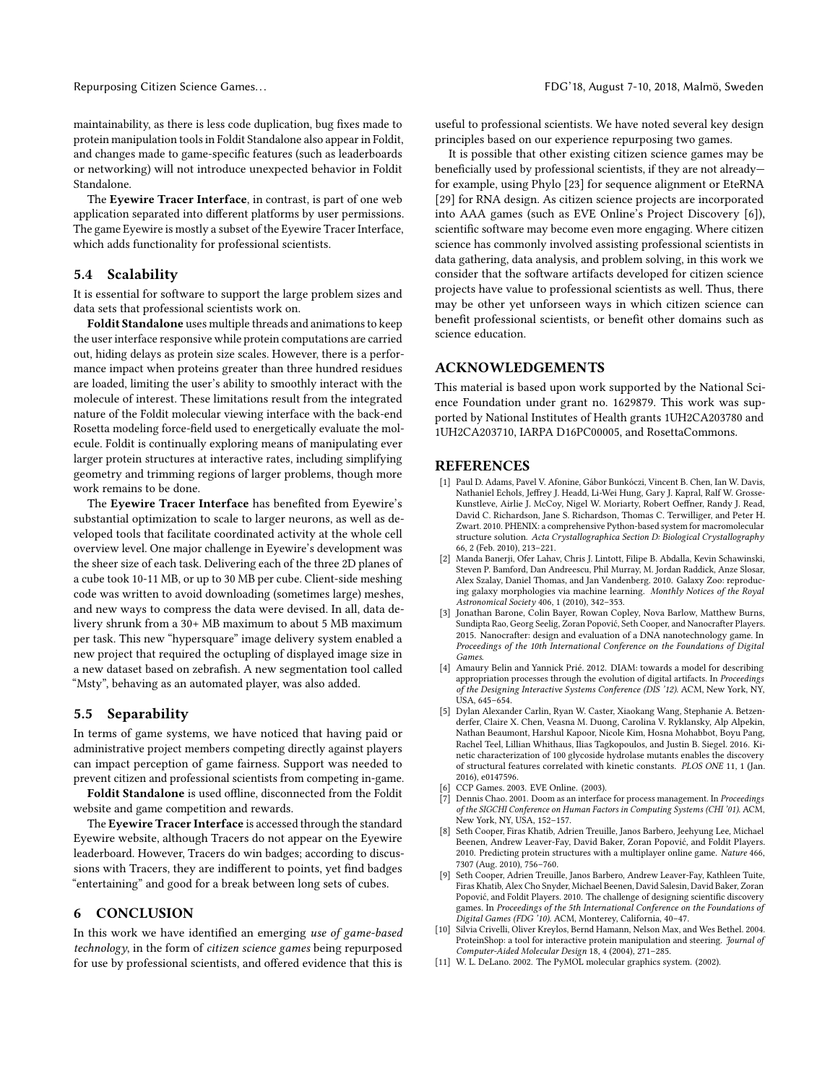maintainability, as there is less code duplication, bug fixes made to protein manipulation tools in Foldit Standalone also appear in Foldit, and changes made to game-specific features (such as leaderboards or networking) will not introduce unexpected behavior in Foldit Standalone.

The Eyewire Tracer Interface, in contrast, is part of one web application separated into different platforms by user permissions. The game Eyewire is mostly a subset of the Eyewire Tracer Interface, which adds functionality for professional scientists.

#### 5.4 Scalability

It is essential for software to support the large problem sizes and data sets that professional scientists work on.

Foldit Standalone uses multiple threads and animations to keep the user interface responsive while protein computations are carried out, hiding delays as protein size scales. However, there is a performance impact when proteins greater than three hundred residues are loaded, limiting the user's ability to smoothly interact with the molecule of interest. These limitations result from the integrated nature of the Foldit molecular viewing interface with the back-end Rosetta modeling force-field used to energetically evaluate the molecule. Foldit is continually exploring means of manipulating ever larger protein structures at interactive rates, including simplifying geometry and trimming regions of larger problems, though more work remains to be done.

The Eyewire Tracer Interface has benefited from Eyewire's substantial optimization to scale to larger neurons, as well as developed tools that facilitate coordinated activity at the whole cell overview level. One major challenge in Eyewire's development was the sheer size of each task. Delivering each of the three 2D planes of a cube took 10-11 MB, or up to 30 MB per cube. Client-side meshing code was written to avoid downloading (sometimes large) meshes, and new ways to compress the data were devised. In all, data delivery shrunk from a 30+ MB maximum to about 5 MB maximum per task. This new "hypersquare" image delivery system enabled a new project that required the octupling of displayed image size in a new dataset based on zebrafish. A new segmentation tool called "Msty", behaving as an automated player, was also added.

### 5.5 Separability

In terms of game systems, we have noticed that having paid or administrative project members competing directly against players can impact perception of game fairness. Support was needed to prevent citizen and professional scientists from competing in-game.

Foldit Standalone is used offline, disconnected from the Foldit website and game competition and rewards.

The Eyewire Tracer Interface is accessed through the standard Eyewire website, although Tracers do not appear on the Eyewire leaderboard. However, Tracers do win badges; according to discussions with Tracers, they are indifferent to points, yet find badges "entertaining" and good for a break between long sets of cubes.

### <span id="page-4-1"></span>6 CONCLUSION

In this work we have identified an emerging use of game-based technology, in the form of citizen science games being repurposed for use by professional scientists, and offered evidence that this is

useful to professional scientists. We have noted several key design principles based on our experience repurposing two games.

It is possible that other existing citizen science games may be beneficially used by professional scientists, if they are not already for example, using Phylo [\[23\]](#page-5-9) for sequence alignment or EteRNA [\[29\]](#page-5-11) for RNA design. As citizen science projects are incorporated into AAA games (such as EVE Online's Project Discovery [\[6\]](#page-4-11)), scientific software may become even more engaging. Where citizen science has commonly involved assisting professional scientists in data gathering, data analysis, and problem solving, in this work we consider that the software artifacts developed for citizen science projects have value to professional scientists as well. Thus, there may be other yet unforseen ways in which citizen science can benefit professional scientists, or benefit other domains such as science education.

## ACKNOWLEDGEMENTS

This material is based upon work supported by the National Science Foundation under grant no. 1629879. This work was supported by National Institutes of Health grants 1UH2CA203780 and 1UH2CA203710, IARPA D16PC00005, and RosettaCommons.

#### REFERENCES

- <span id="page-4-9"></span>[1] Paul D. Adams, Pavel V. Afonine, Gábor Bunkóczi, Vincent B. Chen, Ian W. Davis, Nathaniel Echols, Jeffrey J. Headd, Li-Wei Hung, Gary J. Kapral, Ralf W. Grosse-Kunstleve, Airlie J. McCoy, Nigel W. Moriarty, Robert Oeffner, Randy J. Read, David C. Richardson, Jane S. Richardson, Thomas C. Terwilliger, and Peter H. Zwart. 2010. PHENIX: a comprehensive Python-based system for macromolecular structure solution. Acta Crystallographica Section D: Biological Crystallography 66, 2 (Feb. 2010), 213–221.
- <span id="page-4-3"></span>[2] Manda Banerji, Ofer Lahav, Chris J. Lintott, Filipe B. Abdalla, Kevin Schawinski, Steven P. Bamford, Dan Andreescu, Phil Murray, M. Jordan Raddick, Anze Slosar, Alex Szalay, Daniel Thomas, and Jan Vandenberg. 2010. Galaxy Zoo: reproducing galaxy morphologies via machine learning. Monthly Notices of the Royal Astronomical Society 406, 1 (2010), 342–353.
- <span id="page-4-4"></span>[3] Jonathan Barone, Colin Bayer, Rowan Copley, Nova Barlow, Matthew Burns, Sundipta Rao, Georg Seelig, Zoran Popović, Seth Cooper, and Nanocrafter Players. 2015. Nanocrafter: design and evaluation of a DNA nanotechnology game. In Proceedings of the 10th International Conference on the Foundations of Digital Games.
- <span id="page-4-5"></span>[4] Amaury Belin and Yannick Prié. 2012. DIAM: towards a model for describing appropriation processes through the evolution of digital artifacts. In Proceedings of the Designing Interactive Systems Conference (DIS '12). ACM, New York, NY, USA, 645–654.
- <span id="page-4-8"></span>[5] Dylan Alexander Carlin, Ryan W. Caster, Xiaokang Wang, Stephanie A. Betzenderfer, Claire X. Chen, Veasna M. Duong, Carolina V. Ryklansky, Alp Alpekin, Nathan Beaumont, Harshul Kapoor, Nicole Kim, Hosna Mohabbot, Boyu Pang, Rachel Teel, Lillian Whithaus, Ilias Tagkopoulos, and Justin B. Siegel. 2016. Kinetic characterization of 100 glycoside hydrolase mutants enables the discovery of structural features correlated with kinetic constants. PLOS ONE 11, 1 (Jan. 2016), e0147596.
- <span id="page-4-11"></span>[6] CCP Games. 2003. EVE Online. (2003).
- <span id="page-4-6"></span>[7] Dennis Chao. 2001. Doom as an interface for process management. In Proceedings of the SIGCHI Conference on Human Factors in Computing Systems (CHI '01). ACM, New York, NY, USA, 152–157.
- <span id="page-4-0"></span>[8] Seth Cooper, Firas Khatib, Adrien Treuille, Janos Barbero, Jeehyung Lee, Michael Beenen, Andrew Leaver-Fay, David Baker, Zoran Popović, and Foldit Players. 2010. Predicting protein structures with a multiplayer online game. Nature 466, 7307 (Aug. 2010), 756–760.
- <span id="page-4-7"></span>Seth Cooper, Adrien Treuille, Janos Barbero, Andrew Leaver-Fay, Kathleen Tuite, Firas Khatib, Alex Cho Snyder, Michael Beenen, David Salesin, David Baker, Zoran Popović, and Foldit Players. 2010. The challenge of designing scientific discovery games. In Proceedings of the 5th International Conference on the Foundations of Digital Games (FDG '10). ACM, Monterey, California, 40–47.
- <span id="page-4-10"></span>[10] Silvia Crivelli, Oliver Kreylos, Bernd Hamann, Nelson Max, and Wes Bethel. 2004. ProteinShop: a tool for interactive protein manipulation and steering. Journal of Computer-Aided Molecular Design 18, 4 (2004), 271–285.
- <span id="page-4-2"></span>[11] W. L. DeLano. 2002. The PyMOL molecular graphics system. (2002).